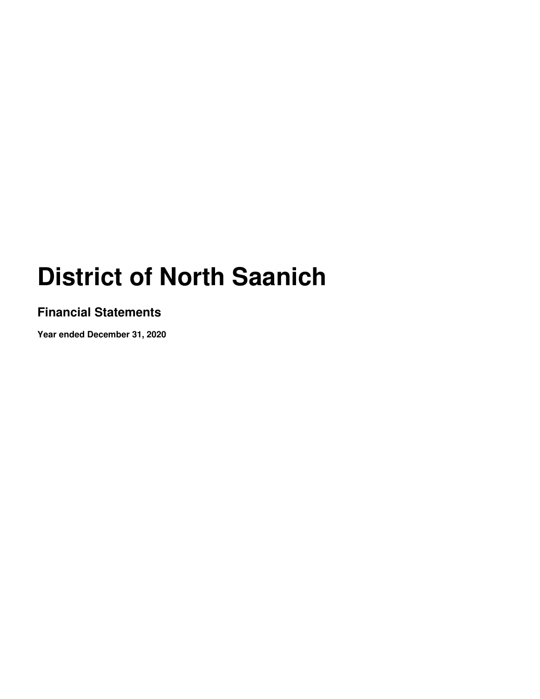### **Financial Statements**

**Year ended December 31, 2020**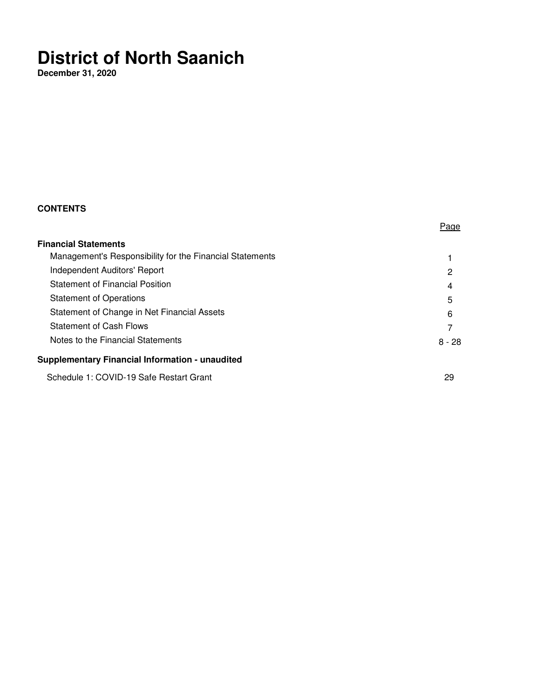**December 31, 2020** 

### **CONTENTS**

|                                                          | Page     |
|----------------------------------------------------------|----------|
| <b>Financial Statements</b>                              |          |
| Management's Responsibility for the Financial Statements |          |
| Independent Auditors' Report                             | 2        |
| <b>Statement of Financial Position</b>                   | 4        |
| <b>Statement of Operations</b>                           | 5        |
| Statement of Change in Net Financial Assets              | 6        |
| <b>Statement of Cash Flows</b>                           | 7        |
| Notes to the Financial Statements                        | $8 - 28$ |
| <b>Supplementary Financial Information - unaudited</b>   |          |
| Schedule 1: COVID-19 Safe Restart Grant                  | 29       |
|                                                          |          |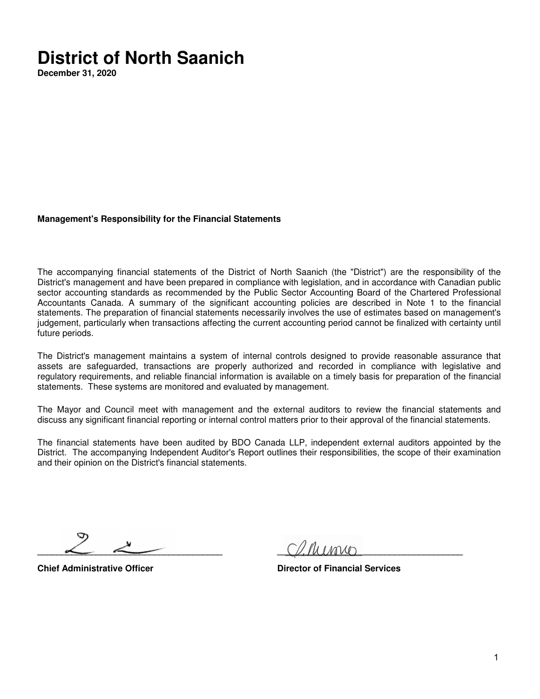**December 31, 2020** 

#### **Management's Responsibility for the Financial Statements**

The accompanying financial statements of the District of North Saanich (the "District") are the responsibility of the District's management and have been prepared in compliance with legislation, and in accordance with Canadian public sector accounting standards as recommended by the Public Sector Accounting Board of the Chartered Professional Accountants Canada. A summary of the significant accounting policies are described in Note 1 to the financial statements. The preparation of financial statements necessarily involves the use of estimates based on management's judgement, particularly when transactions affecting the current accounting period cannot be finalized with certainty until future periods.

The District's management maintains a system of internal controls designed to provide reasonable assurance that assets are safeguarded, transactions are properly authorized and recorded in compliance with legislative and regulatory requirements, and reliable financial information is available on a timely basis for preparation of the financial statements. These systems are monitored and evaluated by management.

The Mayor and Council meet with management and the external auditors to review the financial statements and discuss any significant financial reporting or internal control matters prior to their approval of the financial statements.

The financial statements have been audited by BDO Canada LLP, independent external auditors appointed by the District. The accompanying Independent Auditor's Report outlines their responsibilities, the scope of their examination and their opinion on the District's financial statements.

 $\sim$   $\sim$   $\sim$ 

**Chief Administrative Officer**

 $11$  Phenomeno

**Director of Financial Services**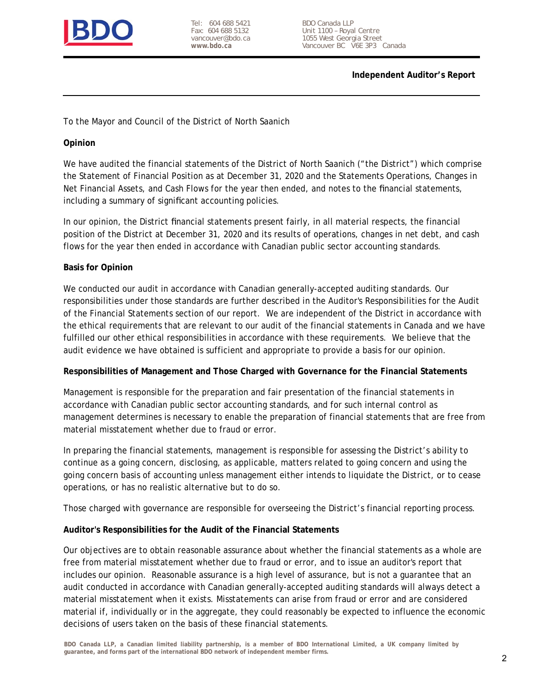

Tel: 604 688 5421 Fax: 604 688 5132 vancouver@bdo.ca **www.bdo.ca**

BDO Canada LLP Unit 1100 – Royal Centre 1055 West Georgia Street Vancouver BC V6E 3P3 Canada

#### **Independent Auditor's Report**

To the Mayor and Council of the District of North Saanich

#### **Opinion**

We have audited the financial statements of the District of North Saanich ("the District") which comprise the Statement of Financial Position as at December 31, 2020 and the Statements Operations, Changes in Net Financial Assets, and Cash Flows for the year then ended, and notes to the financial statements, including a summary of significant accounting policies.

In our opinion, the District financial statements present fairly, in all material respects, the financial position of the District at December 31, 2020 and its results of operations, changes in net debt, and cash flows for the year then ended in accordance with Canadian public sector accounting standards.

#### **Basis for Opinion**

We conducted our audit in accordance with Canadian generally-accepted auditing standards. Our responsibilities under those standards are further described in the Auditor's Responsibilities for the Audit of the Financial Statements section of our report. We are independent of the District in accordance with the ethical requirements that are relevant to our audit of the financial statements in Canada and we have fulfilled our other ethical responsibilities in accordance with these requirements. We believe that the audit evidence we have obtained is sufficient and appropriate to provide a basis for our opinion.

#### **Responsibilities of Management and Those Charged with Governance for the Financial Statements**

Management is responsible for the preparation and fair presentation of the financial statements in accordance with Canadian public sector accounting standards, and for such internal control as management determines is necessary to enable the preparation of financial statements that are free from material misstatement whether due to fraud or error.

In preparing the financial statements, management is responsible for assessing the District's ability to continue as a going concern, disclosing, as applicable, matters related to going concern and using the going concern basis of accounting unless management either intends to liquidate the District, or to cease operations, or has no realistic alternative but to do so.

Those charged with governance are responsible for overseeing the District's financial reporting process.

#### **Auditor's Responsibilities for the Audit of the Financial Statements**

Our objectives are to obtain reasonable assurance about whether the financial statements as a whole are free from material misstatement whether due to fraud or error, and to issue an auditor's report that includes our opinion. Reasonable assurance is a high level of assurance, but is not a guarantee that an audit conducted in accordance with Canadian generally-accepted auditing standards will always detect a material misstatement when it exists. Misstatements can arise from fraud or error and are considered material if, individually or in the aggregate, they could reasonably be expected to influence the economic decisions of users taken on the basis of these financial statements.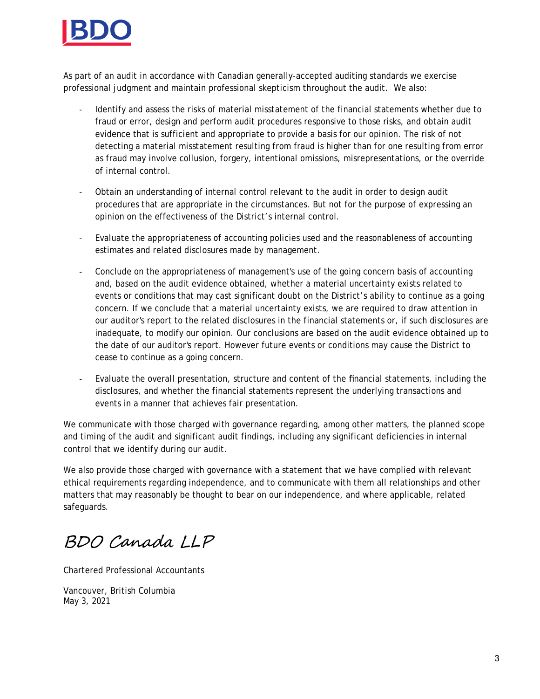

As part of an audit in accordance with Canadian generally-accepted auditing standards we exercise professional judgment and maintain professional skepticism throughout the audit. We also:

- Identify and assess the risks of material misstatement of the financial statements whether due to fraud or error, design and perform audit procedures responsive to those risks, and obtain audit evidence that is sufficient and appropriate to provide a basis for our opinion. The risk of not detecting a material misstatement resulting from fraud is higher than for one resulting from error as fraud may involve collusion, forgery, intentional omissions, misrepresentations, or the override of internal control.
- Obtain an understanding of internal control relevant to the audit in order to design audit procedures that are appropriate in the circumstances. But not for the purpose of expressing an opinion on the effectiveness of the District's internal control.
- Evaluate the appropriateness of accounting policies used and the reasonableness of accounting estimates and related disclosures made by management.
- Conclude on the appropriateness of management's use of the going concern basis of accounting and, based on the audit evidence obtained, whether a material uncertainty exists related to events or conditions that may cast significant doubt on the District's ability to continue as a going concern. If we conclude that a material uncertainty exists, we are required to draw attention in our auditor's report to the related disclosures in the financial statements or, if such disclosures are inadequate, to modify our opinion. Our conclusions are based on the audit evidence obtained up to the date of our auditor's report. However future events or conditions may cause the District to cease to continue as a going concern.
- Evaluate the overall presentation, structure and content of the financial statements, including the disclosures, and whether the financial statements represent the underlying transactions and events in a manner that achieves fair presentation.

We communicate with those charged with governance regarding, among other matters, the planned scope and timing of the audit and significant audit findings, including any significant deficiencies in internal control that we identify during our audit.

We also provide those charged with governance with a statement that we have complied with relevant ethical requirements regarding independence, and to communicate with them all relationships and other matters that may reasonably be thought to bear on our independence, and where applicable, related safeguards.

BDO Canada LLP

Chartered Professional Accountants

Vancouver, British Columbia May 3, 2021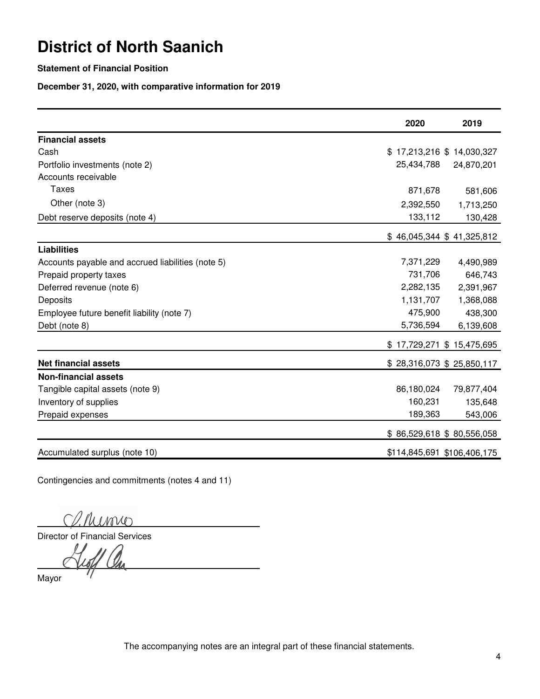### **Statement of Financial Position**

**December 31, 2020, with comparative information for 2019**

|                                                   | 2020       | 2019                        |
|---------------------------------------------------|------------|-----------------------------|
| <b>Financial assets</b>                           |            |                             |
| Cash                                              |            | \$17,213,216 \$14,030,327   |
| Portfolio investments (note 2)                    | 25,434,788 | 24,870,201                  |
| Accounts receivable                               |            |                             |
| Taxes                                             | 871,678    | 581,606                     |
| Other (note 3)                                    | 2,392,550  | 1,713,250                   |
| Debt reserve deposits (note 4)                    | 133,112    | 130,428                     |
|                                                   |            | $$46,045,344$ $$41,325,812$ |
| <b>Liabilities</b>                                |            |                             |
| Accounts payable and accrued liabilities (note 5) | 7,371,229  | 4,490,989                   |
| Prepaid property taxes                            | 731,706    | 646,743                     |
| Deferred revenue (note 6)                         | 2,282,135  | 2,391,967                   |
| Deposits                                          | 1,131,707  | 1,368,088                   |
| Employee future benefit liability (note 7)        | 475,900    | 438,300                     |
| Debt (note 8)                                     | 5,736,594  | 6,139,608                   |
|                                                   |            | \$17,729,271 \$15,475,695   |
| <b>Net financial assets</b>                       |            | \$28,316,073 \$25,850,117   |
| <b>Non-financial assets</b>                       |            |                             |
| Tangible capital assets (note 9)                  | 86,180,024 | 79,877,404                  |
| Inventory of supplies                             | 160,231    | 135,648                     |
| Prepaid expenses                                  | 189,363    | 543,006                     |
|                                                   |            | \$86,529,618 \$80,556,058   |
| Accumulated surplus (note 10)                     |            | \$114,845,691 \$106,406,175 |

Contingencies and commitments (notes 4 and 11)

Clinimo

Director of Financial Services

Mayor

The accompanying notes are an integral part of these financial statements.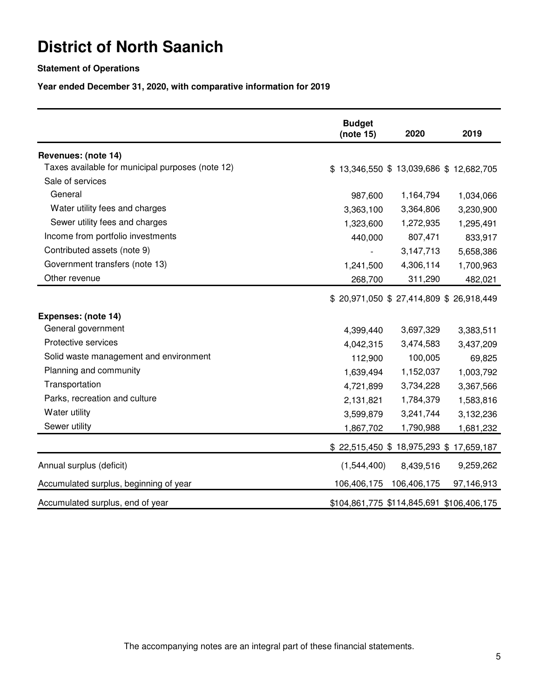### **Statement of Operations**

**Year ended December 31, 2020, with comparative information for 2019**

|                                                  | <b>Budget</b><br>(note 15)                | 2020        | 2019       |
|--------------------------------------------------|-------------------------------------------|-------------|------------|
| Revenues: (note 14)                              |                                           |             |            |
| Taxes available for municipal purposes (note 12) | \$13,346,550 \$13,039,686 \$12,682,705    |             |            |
| Sale of services                                 |                                           |             |            |
| General                                          | 987,600                                   | 1,164,794   | 1,034,066  |
| Water utility fees and charges                   | 3,363,100                                 | 3,364,806   | 3,230,900  |
| Sewer utility fees and charges                   | 1,323,600                                 | 1,272,935   | 1,295,491  |
| Income from portfolio investments                | 440,000                                   | 807,471     | 833,917    |
| Contributed assets (note 9)                      |                                           | 3,147,713   | 5,658,386  |
| Government transfers (note 13)                   | 1,241,500                                 | 4,306,114   | 1,700,963  |
| Other revenue                                    | 268,700                                   | 311,290     | 482,021    |
|                                                  | \$20,971,050 \$27,414,809 \$26,918,449    |             |            |
| Expenses: (note 14)                              |                                           |             |            |
| General government                               | 4,399,440                                 | 3,697,329   | 3,383,511  |
| Protective services                              | 4,042,315                                 | 3,474,583   | 3,437,209  |
| Solid waste management and environment           | 112,900                                   | 100,005     | 69,825     |
| Planning and community                           | 1,639,494                                 | 1,152,037   | 1,003,792  |
| Transportation                                   | 4,721,899                                 | 3,734,228   | 3,367,566  |
| Parks, recreation and culture                    | 2,131,821                                 | 1,784,379   | 1,583,816  |
| Water utility                                    | 3,599,879                                 | 3,241,744   | 3,132,236  |
| Sewer utility                                    | 1,867,702                                 | 1,790,988   | 1,681,232  |
|                                                  | \$22,515,450 \$18,975,293 \$17,659,187    |             |            |
| Annual surplus (deficit)                         | (1,544,400)                               | 8,439,516   | 9,259,262  |
| Accumulated surplus, beginning of year           | 106,406,175                               | 106,406,175 | 97,146,913 |
| Accumulated surplus, end of year                 | \$104,861,775 \$114,845,691 \$106,406,175 |             |            |

The accompanying notes are an integral part of these financial statements.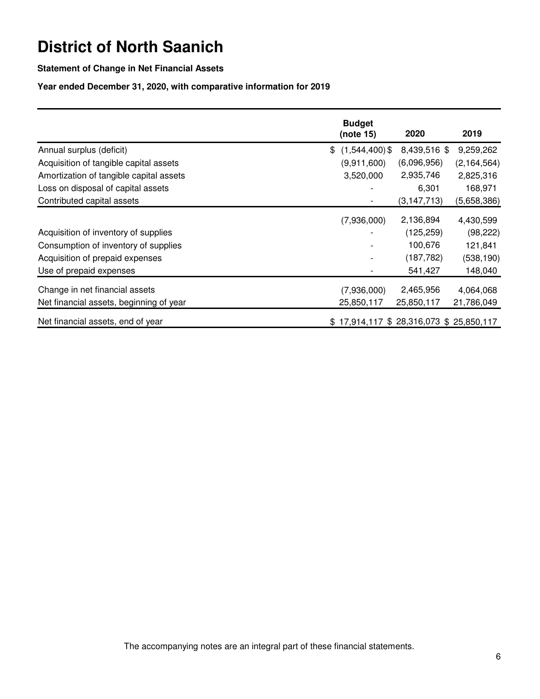### **Statement of Change in Net Financial Assets**

**Year ended December 31, 2020, with comparative information for 2019**

|                                         | <b>Budget</b><br>(note 15)                | 2020          | 2019          |  |
|-----------------------------------------|-------------------------------------------|---------------|---------------|--|
| Annual surplus (deficit)                | $(1,544,400)$ \$<br>\$                    | 8,439,516 \$  | 9,259,262     |  |
| Acquisition of tangible capital assets  | (9,911,600)                               | (6,096,956)   | (2, 164, 564) |  |
| Amortization of tangible capital assets | 3,520,000                                 | 2,935,746     | 2,825,316     |  |
| Loss on disposal of capital assets      |                                           | 6,301         | 168,971       |  |
| Contributed capital assets              |                                           | (3, 147, 713) | (5,658,386)   |  |
|                                         | (7,936,000)                               | 2,136,894     | 4,430,599     |  |
| Acquisition of inventory of supplies    |                                           | (125, 259)    | (98, 222)     |  |
| Consumption of inventory of supplies    |                                           | 100,676       | 121,841       |  |
| Acquisition of prepaid expenses         |                                           | (187, 782)    | (538, 190)    |  |
| Use of prepaid expenses                 |                                           | 541,427       | 148,040       |  |
| Change in net financial assets          | (7,936,000)                               | 2,465,956     | 4,064,068     |  |
| Net financial assets, beginning of year | 25,850,117                                | 25,850,117    | 21,786,049    |  |
| Net financial assets, end of year       | $$17,914,117$ $$28,316,073$ $$25,850,117$ |               |               |  |

The accompanying notes are an integral part of these financial statements.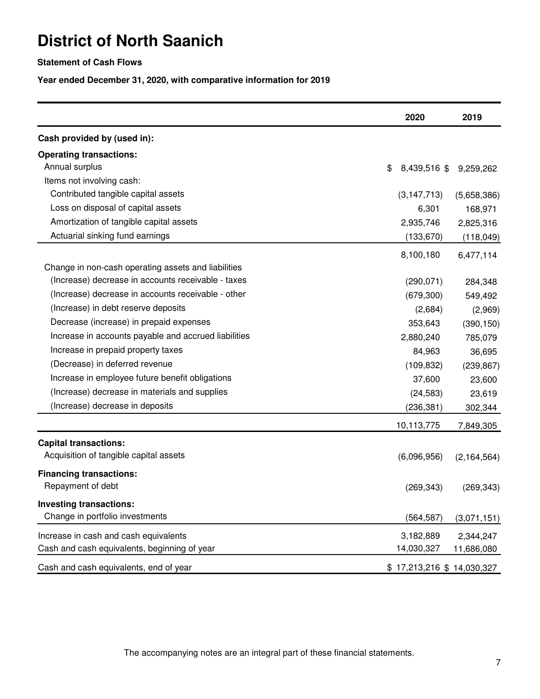#### **Statement of Cash Flows**

**Year ended December 31, 2020, with comparative information for 2019**

|                                                      | 2020                      | 2019          |
|------------------------------------------------------|---------------------------|---------------|
| Cash provided by (used in):                          |                           |               |
| <b>Operating transactions:</b>                       |                           |               |
| Annual surplus                                       | \$<br>8,439,516 \$        | 9,259,262     |
| Items not involving cash:                            |                           |               |
| Contributed tangible capital assets                  | (3, 147, 713)             | (5,658,386)   |
| Loss on disposal of capital assets                   | 6,301                     | 168,971       |
| Amortization of tangible capital assets              | 2,935,746                 | 2,825,316     |
| Actuarial sinking fund earnings                      | (133, 670)                | (118,049)     |
|                                                      | 8,100,180                 | 6,477,114     |
| Change in non-cash operating assets and liabilities  |                           |               |
| (Increase) decrease in accounts receivable - taxes   | (290, 071)                | 284,348       |
| (Increase) decrease in accounts receivable - other   | (679, 300)                | 549,492       |
| (Increase) in debt reserve deposits                  | (2,684)                   | (2,969)       |
| Decrease (increase) in prepaid expenses              | 353,643                   | (390, 150)    |
| Increase in accounts payable and accrued liabilities | 2,880,240                 | 785,079       |
| Increase in prepaid property taxes                   | 84,963                    | 36,695        |
| (Decrease) in deferred revenue                       | (109, 832)                | (239, 867)    |
| Increase in employee future benefit obligations      | 37,600                    | 23,600        |
| (Increase) decrease in materials and supplies        | (24, 583)                 | 23,619        |
| (Increase) decrease in deposits                      | (236, 381)                | 302,344       |
|                                                      | 10,113,775                | 7,849,305     |
| <b>Capital transactions:</b>                         |                           |               |
| Acquisition of tangible capital assets               | (6,096,956)               | (2, 164, 564) |
| <b>Financing transactions:</b>                       |                           |               |
| Repayment of debt                                    | (269, 343)                | (269, 343)    |
| <b>Investing transactions:</b>                       |                           |               |
| Change in portfolio investments                      | (564, 587)                | (3,071,151)   |
| Increase in cash and cash equivalents                | 3,182,889                 | 2,344,247     |
| Cash and cash equivalents, beginning of year         | 14,030,327                | 11,686,080    |
| Cash and cash equivalents, end of year               | \$17,213,216 \$14,030,327 |               |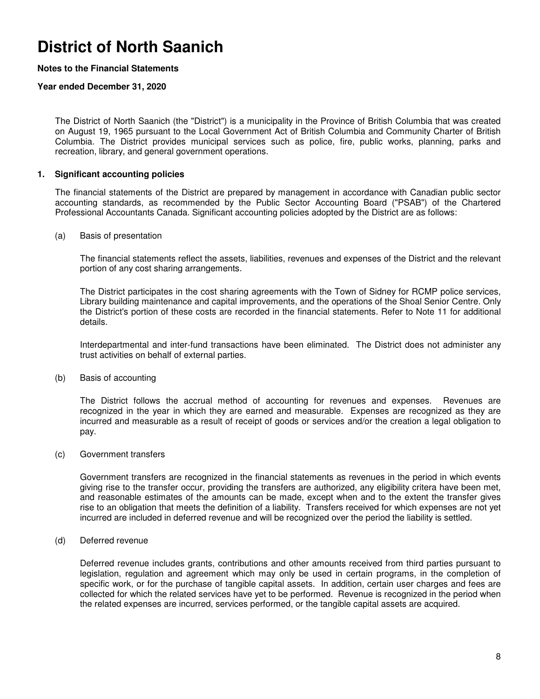#### **Notes to the Financial Statements**

#### **Year ended December 31, 2020**

The District of North Saanich (the "District") is a municipality in the Province of British Columbia that was created on August 19, 1965 pursuant to the Local Government Act of British Columbia and Community Charter of British Columbia. The District provides municipal services such as police, fire, public works, planning, parks and recreation, library, and general government operations.

#### **1. Significant accounting policies**

The financial statements of the District are prepared by management in accordance with Canadian public sector accounting standards, as recommended by the Public Sector Accounting Board ("PSAB") of the Chartered Professional Accountants Canada. Significant accounting policies adopted by the District are as follows:

#### (a) Basis of presentation

The financial statements reflect the assets, liabilities, revenues and expenses of the District and the relevant portion of any cost sharing arrangements.

The District participates in the cost sharing agreements with the Town of Sidney for RCMP police services, Library building maintenance and capital improvements, and the operations of the Shoal Senior Centre. Only the District's portion of these costs are recorded in the financial statements. Refer to Note 11 for additional details.

Interdepartmental and inter-fund transactions have been eliminated. The District does not administer any trust activities on behalf of external parties.

(b) Basis of accounting

The District follows the accrual method of accounting for revenues and expenses. Revenues are recognized in the year in which they are earned and measurable. Expenses are recognized as they are incurred and measurable as a result of receipt of goods or services and/or the creation a legal obligation to pay.

#### (c) Government transfers

Government transfers are recognized in the financial statements as revenues in the period in which events giving rise to the transfer occur, providing the transfers are authorized, any eligibility critera have been met, and reasonable estimates of the amounts can be made, except when and to the extent the transfer gives rise to an obligation that meets the definition of a liability. Transfers received for which expenses are not yet incurred are included in deferred revenue and will be recognized over the period the liability is settled.

#### (d) Deferred revenue

Deferred revenue includes grants, contributions and other amounts received from third parties pursuant to legislation, regulation and agreement which may only be used in certain programs, in the completion of specific work, or for the purchase of tangible capital assets. In addition, certain user charges and fees are collected for which the related services have yet to be performed. Revenue is recognized in the period when the related expenses are incurred, services performed, or the tangible capital assets are acquired.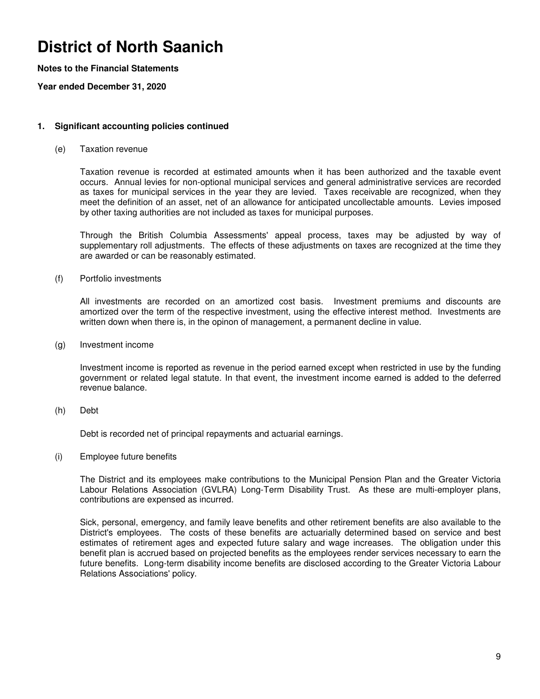#### **Notes to the Financial Statements**

**Year ended December 31, 2020**

#### **1. Significant accounting policies continued**

(e) Taxation revenue

Taxation revenue is recorded at estimated amounts when it has been authorized and the taxable event occurs. Annual levies for non-optional municipal services and general administrative services are recorded as taxes for municipal services in the year they are levied. Taxes receivable are recognized, when they meet the definition of an asset, net of an allowance for anticipated uncollectable amounts. Levies imposed by other taxing authorities are not included as taxes for municipal purposes.

Through the British Columbia Assessments' appeal process, taxes may be adjusted by way of supplementary roll adjustments. The effects of these adjustments on taxes are recognized at the time they are awarded or can be reasonably estimated.

(f) Portfolio investments

All investments are recorded on an amortized cost basis. Investment premiums and discounts are amortized over the term of the respective investment, using the effective interest method. Investments are written down when there is, in the opinon of management, a permanent decline in value.

(g) Investment income

Investment income is reported as revenue in the period earned except when restricted in use by the funding government or related legal statute. In that event, the investment income earned is added to the deferred revenue balance.

(h) Debt

Debt is recorded net of principal repayments and actuarial earnings.

(i) Employee future benefits

The District and its employees make contributions to the Municipal Pension Plan and the Greater Victoria Labour Relations Association (GVLRA) Long-Term Disability Trust. As these are multi-employer plans, contributions are expensed as incurred.

Sick, personal, emergency, and family leave benefits and other retirement benefits are also available to the District's employees. The costs of these benefits are actuarially determined based on service and best estimates of retirement ages and expected future salary and wage increases. The obligation under this benefit plan is accrued based on projected benefits as the employees render services necessary to earn the future benefits. Long-term disability income benefits are disclosed according to the Greater Victoria Labour Relations Associations' policy.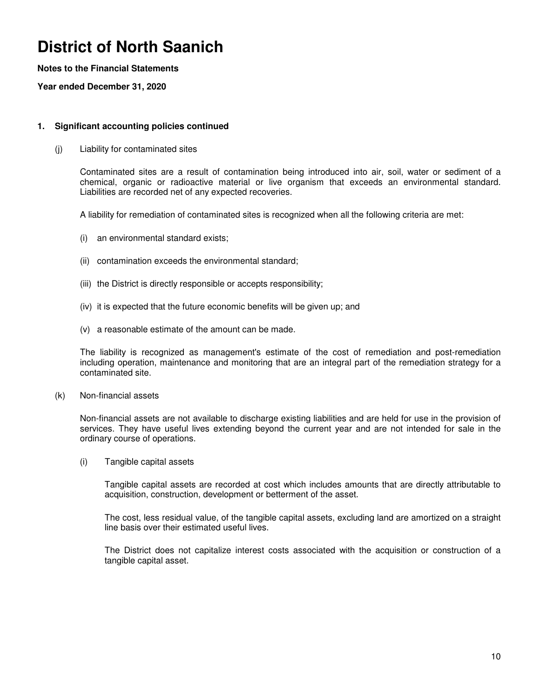#### **Notes to the Financial Statements**

**Year ended December 31, 2020**

#### **1. Significant accounting policies continued**

(j) Liability for contaminated sites

Contaminated sites are a result of contamination being introduced into air, soil, water or sediment of a chemical, organic or radioactive material or live organism that exceeds an environmental standard. Liabilities are recorded net of any expected recoveries.

A liability for remediation of contaminated sites is recognized when all the following criteria are met:

- (i) an environmental standard exists;
- (ii) contamination exceeds the environmental standard;
- (iii) the District is directly responsible or accepts responsibility;
- (iv) it is expected that the future economic benefits will be given up; and
- (v) a reasonable estimate of the amount can be made.

The liability is recognized as management's estimate of the cost of remediation and post-remediation including operation, maintenance and monitoring that are an integral part of the remediation strategy for a contaminated site.

(k) Non-financial assets

Non-financial assets are not available to discharge existing liabilities and are held for use in the provision of services. They have useful lives extending beyond the current year and are not intended for sale in the ordinary course of operations.

(i) Tangible capital assets

Tangible capital assets are recorded at cost which includes amounts that are directly attributable to acquisition, construction, development or betterment of the asset.

The cost, less residual value, of the tangible capital assets, excluding land are amortized on a straight line basis over their estimated useful lives.

The District does not capitalize interest costs associated with the acquisition or construction of a tangible capital asset.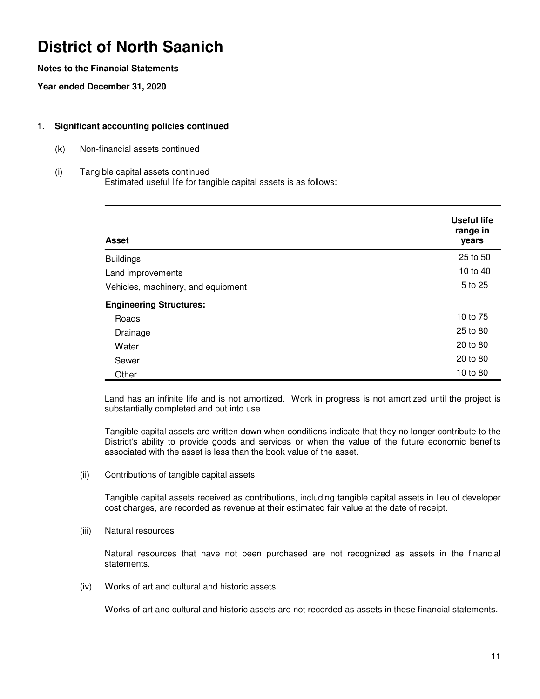#### **Notes to the Financial Statements**

**Year ended December 31, 2020**

#### **1. Significant accounting policies continued**

- (k) Non-financial assets continued
- (i) Tangible capital assets continued Estimated useful life for tangible capital assets is as follows:

| <b>Asset</b>                       | Useful life<br>range in<br>years |
|------------------------------------|----------------------------------|
| <b>Buildings</b>                   | 25 to 50                         |
| Land improvements                  | 10 to 40                         |
| Vehicles, machinery, and equipment | 5 to 25                          |
| <b>Engineering Structures:</b>     |                                  |
| Roads                              | 10 to 75                         |
| Drainage                           | 25 to 80                         |
| Water                              | 20 to 80                         |
| Sewer                              | 20 to 80                         |
| Other                              | 10 to 80                         |

Land has an infinite life and is not amortized. Work in progress is not amortized until the project is substantially completed and put into use.

Tangible capital assets are written down when conditions indicate that they no longer contribute to the District's ability to provide goods and services or when the value of the future economic benefits associated with the asset is less than the book value of the asset.

(ii) Contributions of tangible capital assets

Tangible capital assets received as contributions, including tangible capital assets in lieu of developer cost charges, are recorded as revenue at their estimated fair value at the date of receipt.

(iii) Natural resources

Natural resources that have not been purchased are not recognized as assets in the financial statements.

(iv) Works of art and cultural and historic assets

Works of art and cultural and historic assets are not recorded as assets in these financial statements.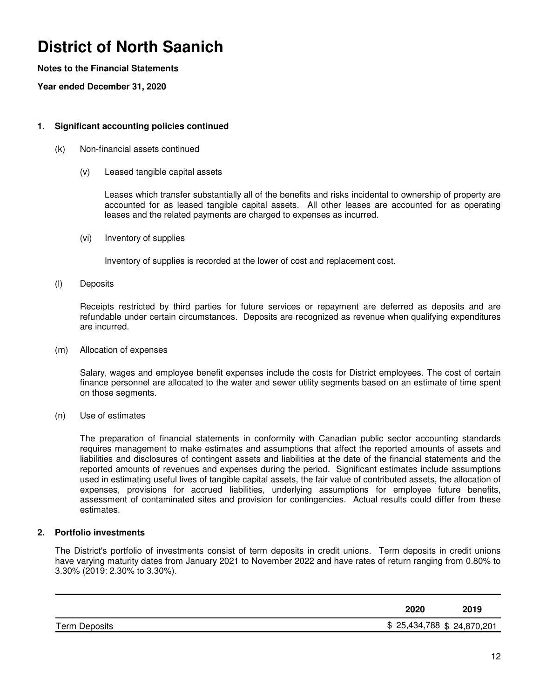#### **Notes to the Financial Statements**

**Year ended December 31, 2020**

#### **1. Significant accounting policies continued**

- (k) Non-financial assets continued
	- (v) Leased tangible capital assets

Leases which transfer substantially all of the benefits and risks incidental to ownership of property are accounted for as leased tangible capital assets. All other leases are accounted for as operating leases and the related payments are charged to expenses as incurred.

(vi) Inventory of supplies

Inventory of supplies is recorded at the lower of cost and replacement cost.

(l) Deposits

Receipts restricted by third parties for future services or repayment are deferred as deposits and are refundable under certain circumstances. Deposits are recognized as revenue when qualifying expenditures are incurred.

(m) Allocation of expenses

Salary, wages and employee benefit expenses include the costs for District employees. The cost of certain finance personnel are allocated to the water and sewer utility segments based on an estimate of time spent on those segments.

(n) Use of estimates

The preparation of financial statements in conformity with Canadian public sector accounting standards requires management to make estimates and assumptions that affect the reported amounts of assets and liabilities and disclosures of contingent assets and liabilities at the date of the financial statements and the reported amounts of revenues and expenses during the period. Significant estimates include assumptions used in estimating useful lives of tangible capital assets, the fair value of contributed assets, the allocation of expenses, provisions for accrued liabilities, underlying assumptions for employee future benefits, assessment of contaminated sites and provision for contingencies. Actual results could differ from these estimates.

#### **2. Portfolio investments**

The District's portfolio of investments consist of term deposits in credit unions. Term deposits in credit unions have varying maturity dates from January 2021 to November 2022 and have rates of return ranging from 0.80% to 3.30% (2019: 2.30% to 3.30%).

|                      | 2020                      | 2019 |
|----------------------|---------------------------|------|
| <b>Term Deposits</b> | \$25,434,788 \$24,870,201 |      |
|                      |                           |      |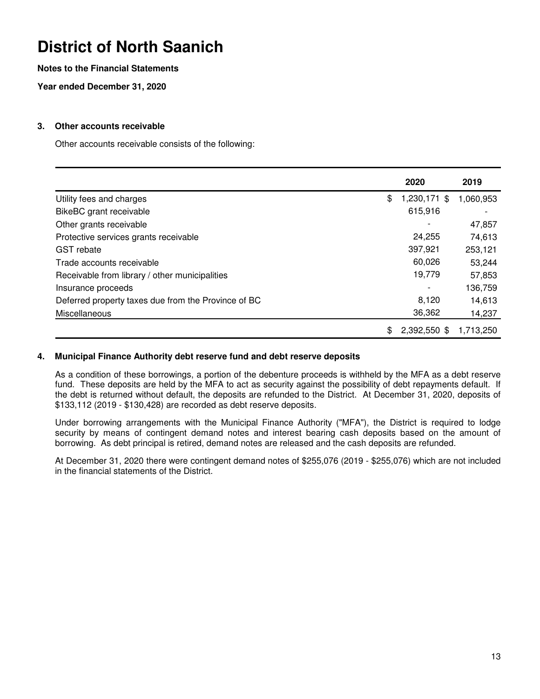#### **Notes to the Financial Statements**

**Year ended December 31, 2020**

#### **3. Other accounts receivable**

Other accounts receivable consists of the following:

|                                                     | 2020                 | 2019      |
|-----------------------------------------------------|----------------------|-----------|
| Utility fees and charges                            | \$<br>1,230,171 \$   | 1,060,953 |
| BikeBC grant receivable                             | 615,916              |           |
| Other grants receivable                             |                      | 47,857    |
| Protective services grants receivable               | 24,255               | 74,613    |
| <b>GST</b> rebate                                   | 397,921              | 253,121   |
| Trade accounts receivable                           | 60,026               | 53,244    |
| Receivable from library / other municipalities      | 19,779               | 57,853    |
| Insurance proceeds                                  |                      | 136,759   |
| Deferred property taxes due from the Province of BC | 8,120                | 14,613    |
| Miscellaneous                                       | 36,362               | 14,237    |
|                                                     | \$<br>$2.392.550$ \$ | 1,713,250 |

#### **4. Municipal Finance Authority debt reserve fund and debt reserve deposits**

As a condition of these borrowings, a portion of the debenture proceeds is withheld by the MFA as a debt reserve fund. These deposits are held by the MFA to act as security against the possibility of debt repayments default. If the debt is returned without default, the deposits are refunded to the District. At December 31, 2020, deposits of \$133,112 (2019 - \$130,428) are recorded as debt reserve deposits.

Under borrowing arrangements with the Municipal Finance Authority ("MFA"), the District is required to lodge security by means of contingent demand notes and interest bearing cash deposits based on the amount of borrowing. As debt principal is retired, demand notes are released and the cash deposits are refunded.

At December 31, 2020 there were contingent demand notes of \$255,076 (2019 - \$255,076) which are not included in the financial statements of the District.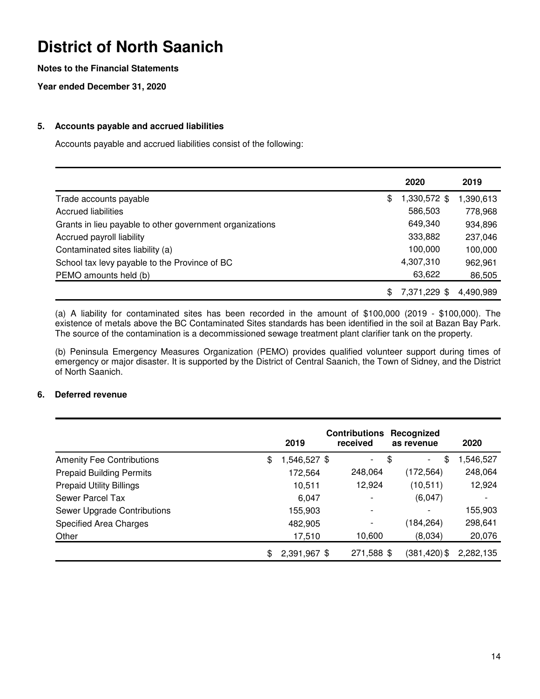#### **Notes to the Financial Statements**

**Year ended December 31, 2020**

#### **5. Accounts payable and accrued liabilities**

Accounts payable and accrued liabilities consist of the following:

|                                                          | 2020               | 2019      |
|----------------------------------------------------------|--------------------|-----------|
| Trade accounts payable                                   | \$<br>1,330,572 \$ | 1,390,613 |
| Accrued liabilities                                      | 586,503            | 778,968   |
| Grants in lieu payable to other government organizations | 649,340            | 934,896   |
| Accrued payroll liability                                | 333,882            | 237,046   |
| Contaminated sites liability (a)                         | 100,000            | 100,000   |
| School tax levy payable to the Province of BC            | 4,307,310          | 962,961   |
| PEMO amounts held (b)                                    | 63,622             | 86,505    |
|                                                          | 7,371,229 \$       | 4.490.989 |

(a) A liability for contaminated sites has been recorded in the amount of \$100,000 (2019 - \$100,000). The existence of metals above the BC Contaminated Sites standards has been identified in the soil at Bazan Bay Park. The source of the contamination is a decommissioned sewage treatment plant clarifier tank on the property.

(b) Peninsula Emergency Measures Organization (PEMO) provides qualified volunteer support during times of emergency or major disaster. It is supported by the District of Central Saanich, the Town of Sidney, and the District of North Saanich.

#### **6. Deferred revenue**

|                                  | 2019               | <b>Contributions</b><br>received | Recognized<br>as revenue             | 2020                     |
|----------------------------------|--------------------|----------------------------------|--------------------------------------|--------------------------|
| <b>Amenity Fee Contributions</b> | \$<br>1,546,527 \$ | $\overline{\phantom{a}}$         | \$<br>\$<br>$\overline{\phantom{0}}$ | 1,546,527                |
| <b>Prepaid Building Permits</b>  | 172,564            | 248,064                          | (172, 564)                           | 248,064                  |
| <b>Prepaid Utility Billings</b>  | 10,511             | 12,924                           | (10, 511)                            | 12,924                   |
| Sewer Parcel Tax                 | 6,047              | $\overline{\phantom{0}}$         | (6,047)                              | $\overline{\phantom{0}}$ |
| Sewer Upgrade Contributions      | 155,903            |                                  |                                      | 155,903                  |
| <b>Specified Area Charges</b>    | 482,905            |                                  | (184, 264)                           | 298,641                  |
| Other                            | 17,510             | 10,600                           | (8,034)                              | 20,076                   |
|                                  | 2,391,967 \$       | 271,588 \$                       | $(381, 420)$ \$                      | 2,282,135                |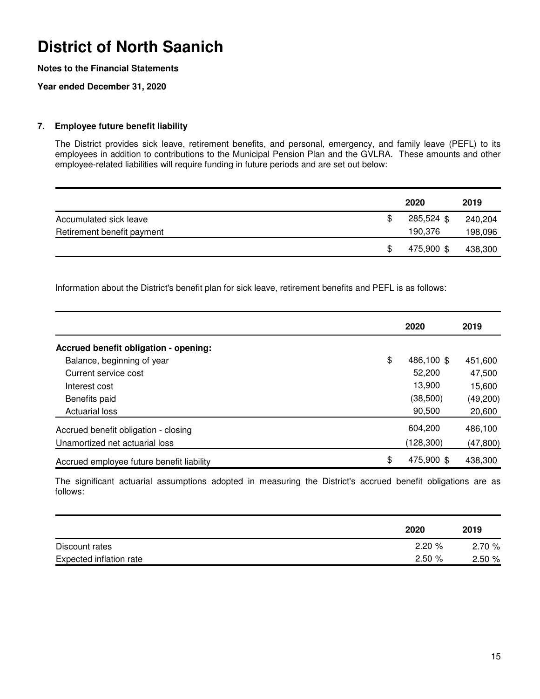#### **Notes to the Financial Statements**

**Year ended December 31, 2020**

#### **7. Employee future benefit liability**

The District provides sick leave, retirement benefits, and personal, emergency, and family leave (PEFL) to its employees in addition to contributions to the Municipal Pension Plan and the GVLRA. These amounts and other employee-related liabilities will require funding in future periods and are set out below:

|                            | 2020             | 2019    |
|----------------------------|------------------|---------|
| Accumulated sick leave     | \$<br>285,524 \$ | 240,204 |
| Retirement benefit payment | 190,376          | 198,096 |
|                            | \$<br>475,900 \$ | 438,300 |

Information about the District's benefit plan for sick leave, retirement benefits and PEFL is as follows:

|                                           | 2020             | 2019      |
|-------------------------------------------|------------------|-----------|
| Accrued benefit obligation - opening:     |                  |           |
| Balance, beginning of year                | \$<br>486,100 \$ | 451,600   |
| Current service cost                      | 52,200           | 47,500    |
| Interest cost                             | 13,900           | 15,600    |
| Benefits paid                             | (38, 500)        | (49, 200) |
| <b>Actuarial loss</b>                     | 90,500           | 20,600    |
| Accrued benefit obligation - closing      | 604,200          | 486,100   |
| Unamortized net actuarial loss            | (128, 300)       | (47,800)  |
| Accrued employee future benefit liability | \$<br>475,900 \$ | 438,300   |

The significant actuarial assumptions adopted in measuring the District's accrued benefit obligations are as follows:

|                         | 2020   | 2019   |
|-------------------------|--------|--------|
| Discount rates          | 2.20 % | 2.70 % |
| Expected inflation rate | 2.50 % | 2.50%  |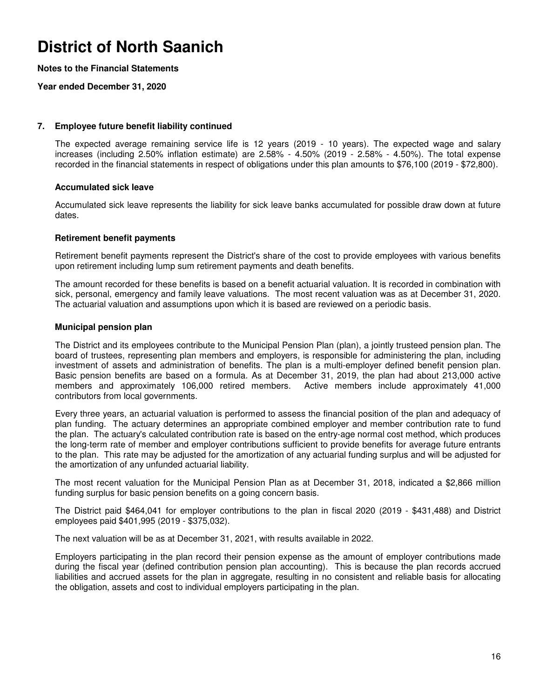#### **Notes to the Financial Statements**

#### **Year ended December 31, 2020**

#### **7. Employee future benefit liability continued**

The expected average remaining service life is 12 years (2019 - 10 years). The expected wage and salary increases (including 2.50% inflation estimate) are 2.58% - 4.50% (2019 - 2.58% - 4.50%). The total expense recorded in the financial statements in respect of obligations under this plan amounts to \$76,100 (2019 - \$72,800).

#### **Accumulated sick leave**

Accumulated sick leave represents the liability for sick leave banks accumulated for possible draw down at future dates.

#### **Retirement benefit payments**

Retirement benefit payments represent the District's share of the cost to provide employees with various benefits upon retirement including lump sum retirement payments and death benefits.

The amount recorded for these benefits is based on a benefit actuarial valuation. It is recorded in combination with sick, personal, emergency and family leave valuations. The most recent valuation was as at December 31, 2020. The actuarial valuation and assumptions upon which it is based are reviewed on a periodic basis.

#### **Municipal pension plan**

The District and its employees contribute to the Municipal Pension Plan (plan), a jointly trusteed pension plan. The board of trustees, representing plan members and employers, is responsible for administering the plan, including investment of assets and administration of benefits. The plan is a multi-employer defined benefit pension plan. Basic pension benefits are based on a formula. As at December 31, 2019, the plan had about 213,000 active members and approximately 106,000 retired members. Active members include approximately 41,000 contributors from local governments.

Every three years, an actuarial valuation is performed to assess the financial position of the plan and adequacy of plan funding. The actuary determines an appropriate combined employer and member contribution rate to fund the plan. The actuary's calculated contribution rate is based on the entry-age normal cost method, which produces the long-term rate of member and employer contributions sufficient to provide benefits for average future entrants to the plan. This rate may be adjusted for the amortization of any actuarial funding surplus and will be adjusted for the amortization of any unfunded actuarial liability.

The most recent valuation for the Municipal Pension Plan as at December 31, 2018, indicated a \$2,866 million funding surplus for basic pension benefits on a going concern basis.

The District paid \$464,041 for employer contributions to the plan in fiscal 2020 (2019 - \$431,488) and District employees paid \$401,995 (2019 - \$375,032).

The next valuation will be as at December 31, 2021, with results available in 2022.

Employers participating in the plan record their pension expense as the amount of employer contributions made during the fiscal year (defined contribution pension plan accounting). This is because the plan records accrued liabilities and accrued assets for the plan in aggregate, resulting in no consistent and reliable basis for allocating the obligation, assets and cost to individual employers participating in the plan.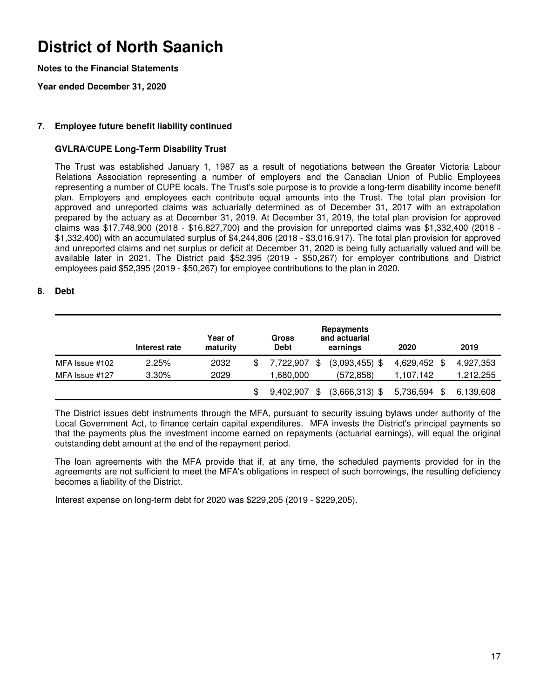#### **Notes to the Financial Statements**

**Year ended December 31, 2020**

#### **7. Employee future benefit liability continued**

#### **GVLRA/CUPE Long-Term Disability Trust**

The Trust was established January 1, 1987 as a result of negotiations between the Greater Victoria Labour Relations Association representing a number of employers and the Canadian Union of Public Employees representing a number of CUPE locals. The Trust's sole purpose is to provide a long-term disability income benefit plan. Employers and employees each contribute equal amounts into the Trust. The total plan provision for approved and unreported claims was actuarially determined as of December 31, 2017 with an extrapolation prepared by the actuary as at December 31, 2019. At December 31, 2019, the total plan provision for approved claims was \$17,748,900 (2018 - \$16,827,700) and the provision for unreported claims was \$1,332,400 (2018 - \$1,332,400) with an accumulated surplus of \$4,244,806 (2018 - \$3,016,917). The total plan provision for approved and unreported claims and net surplus or deficit at December 31, 2020 is being fully actuarially valued and will be available later in 2021. The District paid \$52,395 (2019 - \$50,267) for employer contributions and District employees paid \$52,395 (2019 - \$50,267) for employee contributions to the plan in 2020.

#### **8. Debt**

|                | Interest rate | <b>Year of</b><br>maturity |     | Gross<br><b>Debt</b> | Repayments<br>and actuarial<br>earnings | 2020      |     | 2019      |
|----------------|---------------|----------------------------|-----|----------------------|-----------------------------------------|-----------|-----|-----------|
| MFA Issue #102 | 2.25%         | 2032                       | \$. | 7,722,907            | \$<br>$(3,093,455)$ \$                  | 4,629,452 | -SS | 4,927,353 |
| MFA Issue #127 | $3.30\%$      | 2029                       |     | .680.000             | (572,858)                               | 1.107.142 |     | 1,212,255 |
|                |               |                            |     | 9,402,907            | \$<br>$(3,666,313)$ \$                  | 5,736,594 |     | 6,139,608 |

The District issues debt instruments through the MFA, pursuant to security issuing bylaws under authority of the Local Government Act, to finance certain capital expenditures. MFA invests the District's principal payments so that the payments plus the investment income earned on repayments (actuarial earnings), will equal the original outstanding debt amount at the end of the repayment period.

The loan agreements with the MFA provide that if, at any time, the scheduled payments provided for in the agreements are not sufficient to meet the MFA's obligations in respect of such borrowings, the resulting deficiency becomes a liability of the District.

Interest expense on long-term debt for 2020 was \$229,205 (2019 - \$229,205).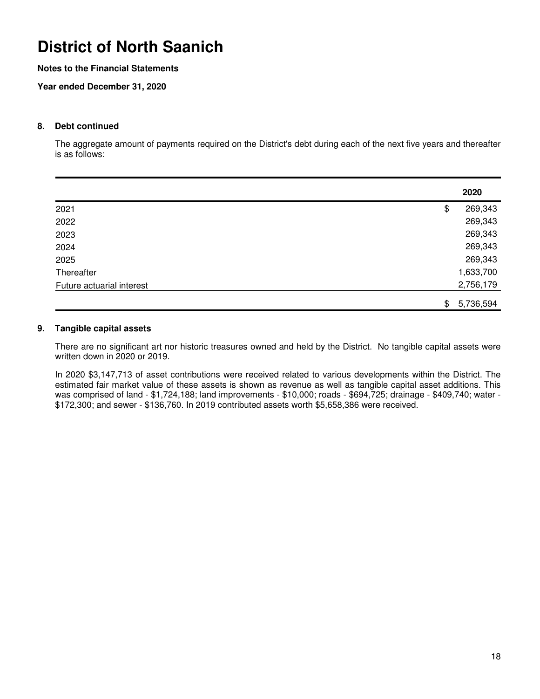#### **Notes to the Financial Statements**

#### **Year ended December 31, 2020**

#### **8. Debt continued**

The aggregate amount of payments required on the District's debt during each of the next five years and thereafter is as follows:

|                           | 2020            |  |
|---------------------------|-----------------|--|
| 2021                      | 269,343<br>\$   |  |
| 2022                      | 269,343         |  |
| 2023                      | 269,343         |  |
| 2024                      | 269,343         |  |
| 2025                      | 269,343         |  |
| Thereafter                | 1,633,700       |  |
| Future actuarial interest | 2,756,179       |  |
|                           | 5,736,594<br>\$ |  |

#### **9. Tangible capital assets**

There are no significant art nor historic treasures owned and held by the District. No tangible capital assets were written down in 2020 or 2019.

In 2020 \$3,147,713 of asset contributions were received related to various developments within the District. The estimated fair market value of these assets is shown as revenue as well as tangible capital asset additions. This was comprised of land - \$1,724,188; land improvements - \$10,000; roads - \$694,725; drainage - \$409,740; water - \$172,300; and sewer - \$136,760. In 2019 contributed assets worth \$5,658,386 were received.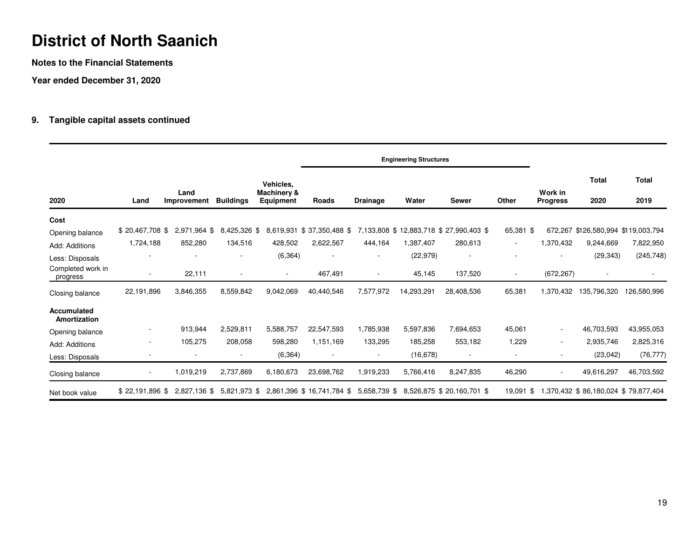**Notes to the Financial Statements**

**Year ended December 31, 2020**

#### **9. Tangible capital assets continued**

|                                                                    |                               |                         |                          |                                              | <b>Engineering Structures</b> |                 |                     |                                                   |               |                            |                                                  |                      |
|--------------------------------------------------------------------|-------------------------------|-------------------------|--------------------------|----------------------------------------------|-------------------------------|-----------------|---------------------|---------------------------------------------------|---------------|----------------------------|--------------------------------------------------|----------------------|
| 2020                                                               | Land                          | Land<br>Improvement     | <b>Buildings</b>         | Vehicles,<br>Machinery &<br><b>Equipment</b> | <b>Roads</b>                  | <b>Drainage</b> | Water               | <b>Sewer</b>                                      | Other         | Work in<br><b>Progress</b> | Total<br>2020                                    | <b>Total</b><br>2019 |
| Cost<br>Opening balance                                            | $$20,467,708$ \$<br>1,724,188 | 2,971,964 \$<br>852,280 | 8,425,326 \$<br>134,516  | 8,619,931<br>428,502                         | \$37,350,488 \$<br>2,622,567  | 444,164         | 1,387,407           | 7,133,808 \$12,883,718 \$27,990,403 \$<br>280,613 | 65,381 \$     | 1,370,432                  | 672,267 \$126,580,994 \$119,003,794<br>9,244,669 | 7,822,950            |
| Add: Additions<br>Less: Disposals<br>Completed work in<br>progress |                               | 22,111                  | $\blacksquare$           | (6, 364)<br>$\overline{\phantom{a}}$         | ٠<br>467,491                  |                 | (22, 979)<br>45,145 | $\overline{\phantom{a}}$<br>137,520               |               | (672, 267)                 | (29, 343)                                        | (245, 748)           |
| Closing balance                                                    | 22,191,896                    | 3,846,355               | 8,559,842                | 9,042,069                                    | 40,440,546                    | 7,577,972       | 14,293,291          | 28,408,536                                        | 65,381        | 1,370,432                  | 135,796,320                                      | 126,580,996          |
| Accumulated<br>Amortization                                        |                               |                         |                          |                                              |                               |                 |                     |                                                   |               |                            |                                                  |                      |
| Opening balance                                                    | $\overline{\phantom{a}}$      | 913,944                 | 2,529,811                | 5,588,757                                    | 22,547,593                    | 1,785,938       | 5,597,836           | 7,694,653                                         | 45,061        | $\overline{\phantom{a}}$   | 46,703,593                                       | 43,955,053           |
| Add: Additions                                                     | $\overline{\phantom{a}}$      | 105,275                 | 208,058                  | 598,280                                      | 1,151,169                     | 133,295         | 185,258             | 553,182                                           | 1,229         | $\overline{\phantom{a}}$   | 2,935,746                                        | 2,825,316            |
| Less: Disposals                                                    |                               |                         | $\overline{\phantom{m}}$ | (6, 364)                                     | $\overline{\phantom{a}}$      |                 | (16, 678)           | $\overline{\phantom{a}}$                          |               |                            | (23, 042)                                        | (76, 777)            |
| Closing balance                                                    |                               | 1,019,219               | 2,737,869                | 6,180,673                                    | 23,698,762                    | 1,919,233       | 5,766,416           | 8,247,835                                         | 46,290        |                            | 49,616,297                                       | 46,703,592           |
| Net book value                                                     | $$22,191,896$ \$              | 2,827,136 \$            | 5,821,973 \$             |                                              | 2,861,396 \$16,741,784<br>\$  | 5,658,739 \$    |                     | 8,526,875 \$ 20,160,701 \$                        | 19,091<br>-\$ |                            | 1,370,432 \$86,180,024 \$79,877,404              |                      |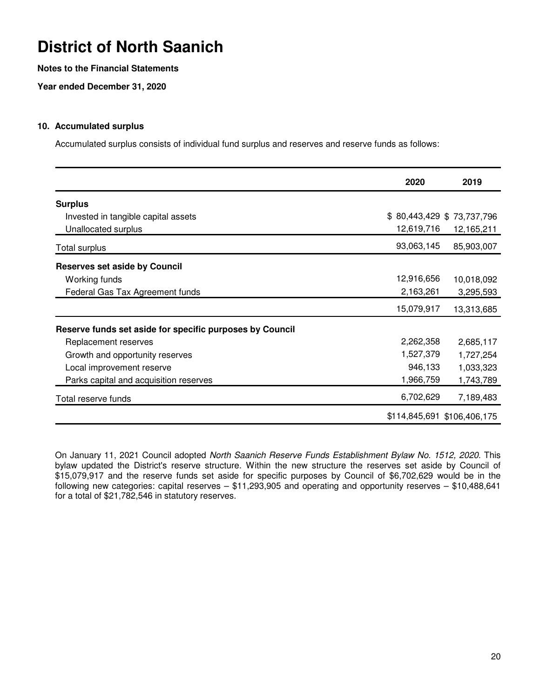#### **Notes to the Financial Statements**

**Year ended December 31, 2020**

#### **10. Accumulated surplus**

Accumulated surplus consists of individual fund surplus and reserves and reserve funds as follows:

|                                                          | 2020       | 2019                        |
|----------------------------------------------------------|------------|-----------------------------|
| <b>Surplus</b>                                           |            |                             |
| Invested in tangible capital assets                      |            | \$80,443,429 \$73,737,796   |
| Unallocated surplus                                      | 12,619,716 | 12,165,211                  |
| Total surplus                                            | 93,063,145 | 85,903,007                  |
| <b>Reserves set aside by Council</b>                     |            |                             |
| Working funds                                            | 12,916,656 | 10,018,092                  |
| Federal Gas Tax Agreement funds                          | 2,163,261  | 3,295,593                   |
|                                                          | 15,079,917 | 13,313,685                  |
| Reserve funds set aside for specific purposes by Council |            |                             |
| Replacement reserves                                     | 2,262,358  | 2,685,117                   |
| Growth and opportunity reserves                          | 1,527,379  | 1,727,254                   |
| Local improvement reserve                                | 946,133    | 1,033,323                   |
| Parks capital and acquisition reserves                   | 1,966,759  | 1,743,789                   |
| Total reserve funds                                      | 6,702,629  | 7,189,483                   |
|                                                          |            | \$114,845,691 \$106,406,175 |

On January 11, 2021 Council adopted North Saanich Reserve Funds Establishment Bylaw No. 1512, 2020. This bylaw updated the District's reserve structure. Within the new structure the reserves set aside by Council of \$15,079,917 and the reserve funds set aside for specific purposes by Council of \$6,702,629 would be in the following new categories: capital reserves – \$11,293,905 and operating and opportunity reserves – \$10,488,641 for a total of \$21,782,546 in statutory reserves.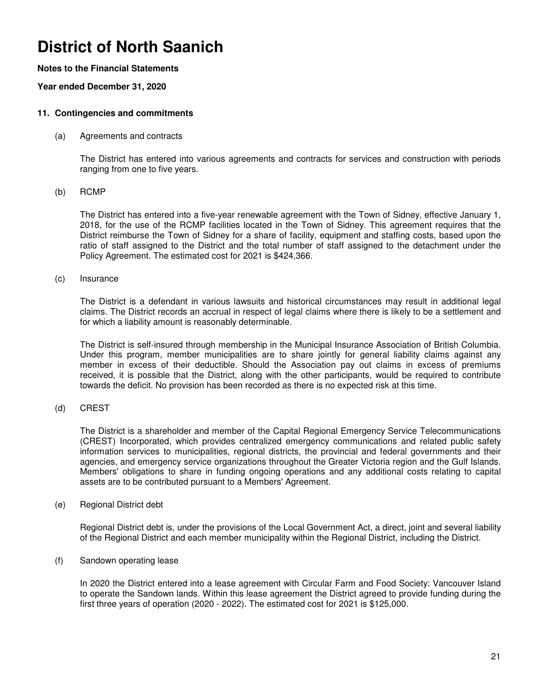#### **Notes to the Financial Statements**

#### **Year ended December 31, 2020**

#### **11. Contingencies and commitments**

(a) Agreements and contracts

The District has entered into various agreements and contracts for services and construction with periods ranging from one to five years.

(b) RCMP

The District has entered into a five-year renewable agreement with the Town of Sidney, effective January 1, 2018, for the use of the RCMP facilities located in the Town of Sidney. This agreement requires that the District reimburse the Town of Sidney for a share of facility, equipment and staffing costs, based upon the ratio of staff assigned to the District and the total number of staff assigned to the detachment under the Policy Agreement. The estimated cost for 2021 is \$424,366.

(c) Insurance

The District is a defendant in various lawsuits and historical circumstances may result in additional legal claims. The District records an accrual in respect of legal claims where there is likely to be a settlement and for which a liability amount is reasonably determinable.

The District is self-insured through membership in the Municipal Insurance Association of British Columbia. Under this program, member municipalities are to share jointly for general liability claims against any member in excess of their deductible. Should the Association pay out claims in excess of premiums received, it is possible that the District, along with the other participants, would be required to contribute towards the deficit. No provision has been recorded as there is no expected risk at this time.

(d) CREST

The District is a shareholder and member of the Capital Regional Emergency Service Telecommunications (CREST) Incorporated, which provides centralized emergency communications and related public safety information services to municipalities, regional districts, the provincial and federal governments and their agencies, and emergency service organizations throughout the Greater Victoria region and the Gulf Islands. Members' obligations to share in funding ongoing operations and any additional costs relating to capital assets are to be contributed pursuant to a Members' Agreement.

(e) Regional District debt

Regional District debt is, under the provisions of the Local Government Act, a direct, joint and several liability of the Regional District and each member municipality within the Regional District, including the District.

(f) Sandown operating lease

In 2020 the District entered into a lease agreement with Circular Farm and Food Society: Vancouver Island to operate the Sandown lands. Within this lease agreement the District agreed to provide funding during the first three years of operation (2020 - 2022). The estimated cost for 2021 is \$125,000.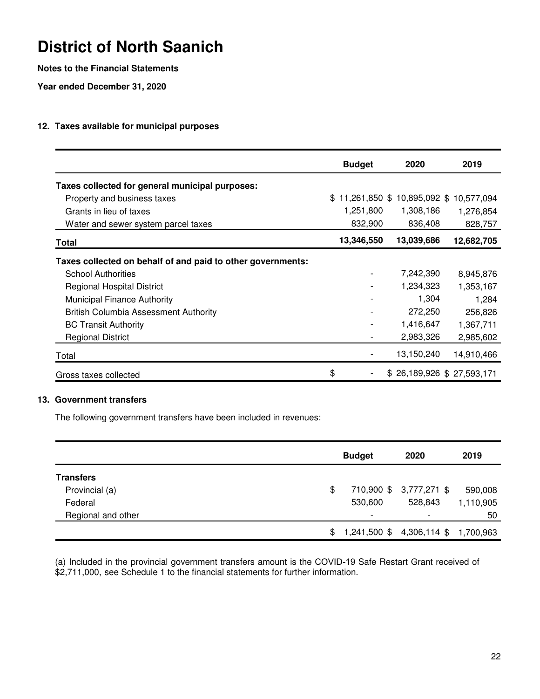#### **Notes to the Financial Statements**

**Year ended December 31, 2020**

#### **12. Taxes available for municipal purposes**

|                                                             | <b>Budget</b> | 2020                         | 2019       |
|-------------------------------------------------------------|---------------|------------------------------|------------|
| Taxes collected for general municipal purposes:             |               |                              |            |
| Property and business taxes                                 |               | \$11,261,850 \$10,895,092 \$ | 10,577,094 |
| Grants in lieu of taxes                                     | 1,251,800     | 1,308,186                    | 1,276,854  |
| Water and sewer system parcel taxes                         | 832,900       | 836,408                      | 828,757    |
| <b>Total</b>                                                | 13,346,550    | 13,039,686                   | 12,682,705 |
| Taxes collected on behalf of and paid to other governments: |               |                              |            |
| <b>School Authorities</b>                                   |               | 7,242,390                    | 8,945,876  |
| Regional Hospital District                                  |               | 1,234,323                    | 1,353,167  |
| <b>Municipal Finance Authority</b>                          |               | 1,304                        | 1,284      |
| <b>British Columbia Assessment Authority</b>                |               | 272,250                      | 256,826    |
| <b>BC Transit Authority</b>                                 |               | 1,416,647                    | 1,367,711  |
| <b>Regional District</b>                                    |               | 2,983,326                    | 2,985,602  |
| Total                                                       |               | 13,150,240                   | 14,910,466 |
| Gross taxes collected                                       | \$            | \$26,189,926 \$27,593,171    |            |

#### **13. Government transfers**

The following government transfers have been included in revenues:

|                    | <b>Budget</b>            | 2020                                | 2019      |
|--------------------|--------------------------|-------------------------------------|-----------|
| <b>Transfers</b>   |                          |                                     |           |
| Provincial (a)     | \$                       | 710,900 \$ 3,777,271 \$             | 590,008   |
| Federal            | 530,600                  | 528,843                             | 1,110,905 |
| Regional and other | $\overline{\phantom{0}}$ | $\overline{\phantom{0}}$            | 50        |
|                    | \$                       | 1,241,500 \$ 4,306,114 \$ 1,700,963 |           |

(a) Included in the provincial government transfers amount is the COVID-19 Safe Restart Grant received of \$2,711,000, see Schedule 1 to the financial statements for further information.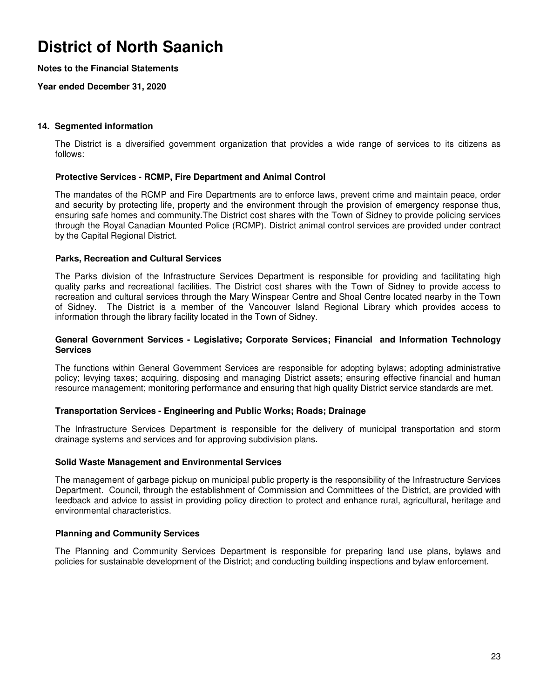#### **Notes to the Financial Statements**

**Year ended December 31, 2020**

#### **14. Segmented information**

The District is a diversified government organization that provides a wide range of services to its citizens as follows:

#### **Protective Services - RCMP, Fire Department and Animal Control**

The mandates of the RCMP and Fire Departments are to enforce laws, prevent crime and maintain peace, order and security by protecting life, property and the environment through the provision of emergency response thus, ensuring safe homes and community.The District cost shares with the Town of Sidney to provide policing services through the Royal Canadian Mounted Police (RCMP). District animal control services are provided under contract by the Capital Regional District.

#### **Parks, Recreation and Cultural Services**

The Parks division of the Infrastructure Services Department is responsible for providing and facilitating high quality parks and recreational facilities. The District cost shares with the Town of Sidney to provide access to recreation and cultural services through the Mary Winspear Centre and Shoal Centre located nearby in the Town of Sidney. The District is a member of the Vancouver Island Regional Library which provides access to information through the library facility located in the Town of Sidney.

#### **General Government Services - Legislative; Corporate Services; Financial and Information Technology Services**

The functions within General Government Services are responsible for adopting bylaws; adopting administrative policy; levying taxes; acquiring, disposing and managing District assets; ensuring effective financial and human resource management; monitoring performance and ensuring that high quality District service standards are met.

#### **Transportation Services - Engineering and Public Works; Roads; Drainage**

The Infrastructure Services Department is responsible for the delivery of municipal transportation and storm drainage systems and services and for approving subdivision plans.

#### **Solid Waste Management and Environmental Services**

The management of garbage pickup on municipal public property is the responsibility of the Infrastructure Services Department. Council, through the establishment of Commission and Committees of the District, are provided with feedback and advice to assist in providing policy direction to protect and enhance rural, agricultural, heritage and environmental characteristics.

#### **Planning and Community Services**

The Planning and Community Services Department is responsible for preparing land use plans, bylaws and policies for sustainable development of the District; and conducting building inspections and bylaw enforcement.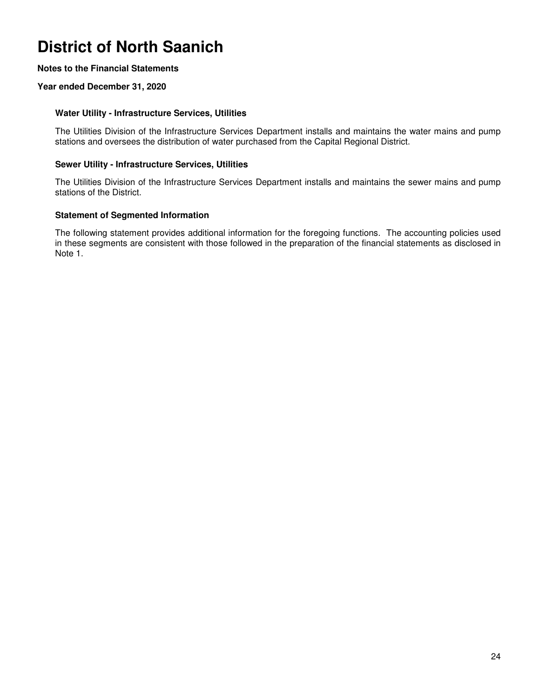#### **Notes to the Financial Statements**

#### **Year ended December 31, 2020**

#### **Water Utility - Infrastructure Services, Utilities**

The Utilities Division of the Infrastructure Services Department installs and maintains the water mains and pump stations and oversees the distribution of water purchased from the Capital Regional District.

#### **Sewer Utility - Infrastructure Services, Utilities**

The Utilities Division of the Infrastructure Services Department installs and maintains the sewer mains and pump stations of the District.

#### **Statement of Segmented Information**

The following statement provides additional information for the foregoing functions. The accounting policies used in these segments are consistent with those followed in the preparation of the financial statements as disclosed in Note 1.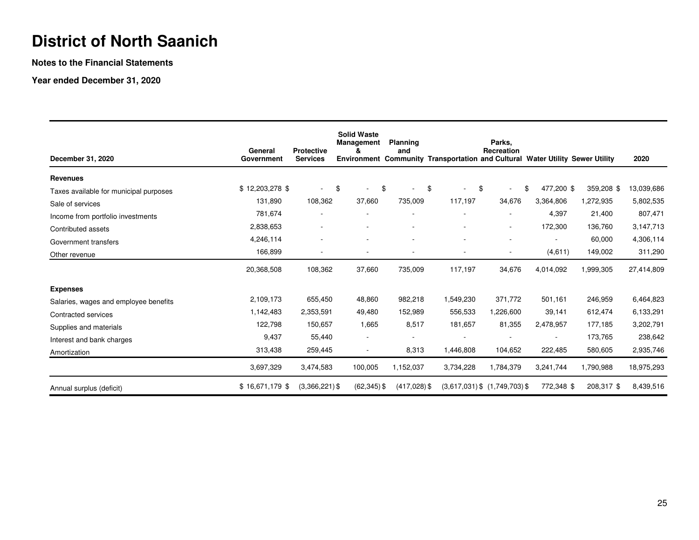**Notes to the Financial Statements**

**Year ended December 31, 2020**

| December 31, 2020                      | General<br>Government | <b>Protective</b><br><b>Services</b> | <b>Solid Waste</b><br>Management | Planning<br>and | Environment Community Transportation and Cultural Water Utility Sewer Utility | Parks.<br>Recreation              |                  |            | 2020       |
|----------------------------------------|-----------------------|--------------------------------------|----------------------------------|-----------------|-------------------------------------------------------------------------------|-----------------------------------|------------------|------------|------------|
| <b>Revenues</b>                        |                       |                                      |                                  |                 |                                                                               |                                   |                  |            |            |
| Taxes available for municipal purposes | $$12,203,278$ \$      |                                      | \$                               | \$              | \$                                                                            | \$<br>$\overline{\phantom{a}}$    | \$<br>477,200 \$ | 359,208 \$ | 13,039,686 |
| Sale of services                       | 131,890               | 108,362                              | 37,660                           | 735,009         | 117,197                                                                       | 34,676                            | 3,364,806        | 1,272,935  | 5,802,535  |
| Income from portfolio investments      | 781,674               |                                      |                                  |                 |                                                                               |                                   | 4,397            | 21,400     | 807,471    |
| Contributed assets                     | 2,838,653             | $\blacksquare$                       | ÷,                               |                 | ۰                                                                             | $\overline{\phantom{a}}$          | 172,300          | 136,760    | 3,147,713  |
| Government transfers                   | 4,246,114             |                                      | $\overline{a}$                   |                 | ٠                                                                             | ۰                                 | $\overline{a}$   | 60,000     | 4,306,114  |
| Other revenue                          | 166,899               |                                      |                                  |                 | $\overline{\phantom{a}}$                                                      | $\overline{a}$                    | (4,611)          | 149,002    | 311,290    |
|                                        | 20,368,508            | 108,362                              | 37,660                           | 735,009         | 117,197                                                                       | 34,676                            | 4,014,092        | 1,999,305  | 27,414,809 |
| <b>Expenses</b>                        |                       |                                      |                                  |                 |                                                                               |                                   |                  |            |            |
| Salaries, wages and employee benefits  | 2,109,173             | 655,450                              | 48,860                           | 982,218         | 1,549,230                                                                     | 371,772                           | 501,161          | 246,959    | 6,464,823  |
| Contracted services                    | 1,142,483             | 2,353,591                            | 49,480                           | 152,989         | 556,533                                                                       | 1,226,600                         | 39,141           | 612,474    | 6,133,291  |
| Supplies and materials                 | 122,798               | 150,657                              | 1,665                            | 8,517           | 181,657                                                                       | 81,355                            | 2,478,957        | 177,185    | 3,202,791  |
| Interest and bank charges              | 9,437                 | 55,440                               | $\overline{\phantom{a}}$         |                 |                                                                               |                                   |                  | 173,765    | 238,642    |
| Amortization                           | 313,438               | 259,445                              | $\overline{\phantom{a}}$         | 8,313           | 1,446,808                                                                     | 104,652                           | 222,485          | 580,605    | 2,935,746  |
|                                        | 3,697,329             | 3,474,583                            | 100,005                          | 1,152,037       | 3,734,228                                                                     | 1,784,379                         | 3,241,744        | 1,790,988  | 18,975,293 |
| Annual surplus (deficit)               | $$16,671,179$ \$      | $(3,366,221)$ \$                     | $(62, 345)$ \$                   | $(417,028)$ \$  |                                                                               | $(3,617,031)$ \$ $(1,749,703)$ \$ | 772,348 \$       | 208,317 \$ | 8,439,516  |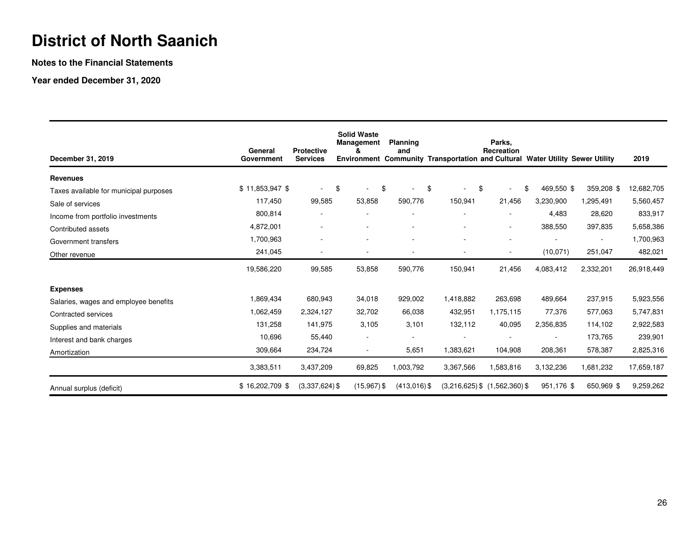**Notes to the Financial Statements**

**Year ended December 31, 2020**

| December 31, 2019                      | General<br>Government | <b>Protective</b><br><b>Services</b> | <b>Solid Waste</b><br>Management<br>& | <b>Planning</b><br>and | Environment Community Transportation and Cultural Water Utility Sewer Utility | Parks,<br>Recreation              |                  |                          | 2019       |
|----------------------------------------|-----------------------|--------------------------------------|---------------------------------------|------------------------|-------------------------------------------------------------------------------|-----------------------------------|------------------|--------------------------|------------|
| <b>Revenues</b>                        |                       |                                      |                                       |                        |                                                                               |                                   |                  |                          |            |
| Taxes available for municipal purposes | $$11,853,947$ \$      | $\overline{\phantom{a}}$             | \$<br>$\sim$                          | \$                     | \$                                                                            | \$<br>$\overline{\phantom{a}}$    | 469,550 \$<br>\$ | 359,208 \$               | 12,682,705 |
| Sale of services                       | 117,450               | 99,585                               | 53,858                                | 590,776                | 150,941                                                                       | 21,456                            | 3,230,900        | 1,295,491                | 5,560,457  |
| Income from portfolio investments      | 800,814               |                                      |                                       |                        |                                                                               |                                   | 4,483            | 28,620                   | 833,917    |
| Contributed assets                     | 4,872,001             |                                      |                                       |                        |                                                                               | ٠                                 | 388,550          | 397,835                  | 5,658,386  |
| Government transfers                   | 1,700,963             |                                      |                                       |                        |                                                                               |                                   | ٠                | $\overline{\phantom{a}}$ | 1,700,963  |
| Other revenue                          | 241,045               |                                      |                                       |                        | $\overline{\phantom{a}}$                                                      | $\overline{\phantom{a}}$          | (10,071)         | 251,047                  | 482,021    |
|                                        | 19,586,220            | 99,585                               | 53,858                                | 590,776                | 150,941                                                                       | 21,456                            | 4,083,412        | 2,332,201                | 26,918,449 |
| <b>Expenses</b>                        |                       |                                      |                                       |                        |                                                                               |                                   |                  |                          |            |
| Salaries, wages and employee benefits  | 1,869,434             | 680,943                              | 34,018                                | 929,002                | 1,418,882                                                                     | 263,698                           | 489,664          | 237,915                  | 5,923,556  |
| Contracted services                    | 1,062,459             | 2,324,127                            | 32,702                                | 66,038                 | 432,951                                                                       | 1,175,115                         | 77,376           | 577,063                  | 5,747,831  |
| Supplies and materials                 | 131,258               | 141,975                              | 3,105                                 | 3,101                  | 132,112                                                                       | 40,095                            | 2,356,835        | 114,102                  | 2,922,583  |
| Interest and bank charges              | 10,696                | 55,440                               | ٠                                     |                        |                                                                               |                                   |                  | 173,765                  | 239,901    |
| Amortization                           | 309,664               | 234,724                              | $\overline{\phantom{a}}$              | 5,651                  | 1,383,621                                                                     | 104,908                           | 208,361          | 578,387                  | 2,825,316  |
|                                        | 3,383,511             | 3,437,209                            | 69,825                                | 1,003,792              | 3,367,566                                                                     | 1,583,816                         | 3,132,236        | 1,681,232                | 17,659,187 |
| Annual surplus (deficit)               | $$16,202,709$ \$      | $(3,337,624)$ \$                     | $(15,967)$ \$                         | $(413,016)$ \$         |                                                                               | $(3,216,625)$ \$ $(1,562,360)$ \$ | 951,176 \$       | 650,969 \$               | 9,259,262  |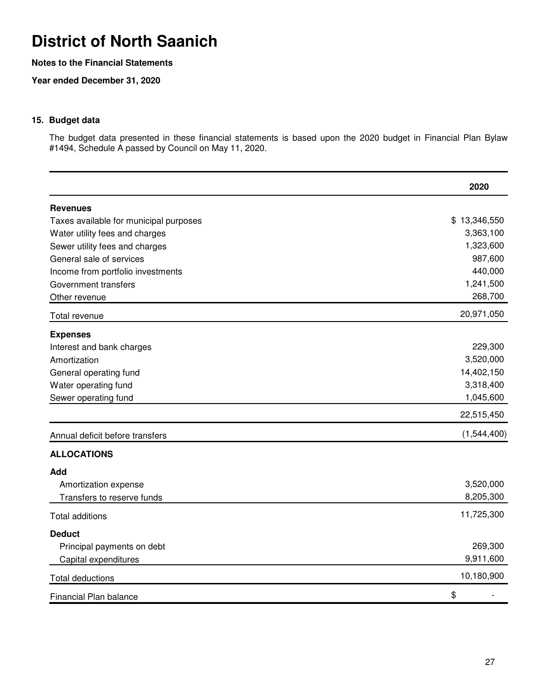### **Notes to the Financial Statements**

**Year ended December 31, 2020**

#### **15. Budget data**

The budget data presented in these financial statements is based upon the 2020 budget in Financial Plan Bylaw #1494, Schedule A passed by Council on May 11, 2020.

|                                        | 2020         |
|----------------------------------------|--------------|
| <b>Revenues</b>                        |              |
| Taxes available for municipal purposes | \$13,346,550 |
| Water utility fees and charges         | 3,363,100    |
| Sewer utility fees and charges         | 1,323,600    |
| General sale of services               | 987,600      |
| Income from portfolio investments      | 440,000      |
| Government transfers                   | 1,241,500    |
| Other revenue                          | 268,700      |
| Total revenue                          | 20,971,050   |
| <b>Expenses</b>                        |              |
| Interest and bank charges              | 229,300      |
| Amortization                           | 3,520,000    |
| General operating fund                 | 14,402,150   |
| Water operating fund                   | 3,318,400    |
| Sewer operating fund                   | 1,045,600    |
|                                        | 22,515,450   |
| Annual deficit before transfers        | (1,544,400)  |
| <b>ALLOCATIONS</b>                     |              |
| Add                                    |              |
| Amortization expense                   | 3,520,000    |
| Transfers to reserve funds             | 8,205,300    |
| <b>Total additions</b>                 | 11,725,300   |
| <b>Deduct</b>                          |              |
| Principal payments on debt             | 269,300      |
| Capital expenditures                   | 9,911,600    |
| <b>Total deductions</b>                | 10,180,900   |
| Financial Plan balance                 | \$           |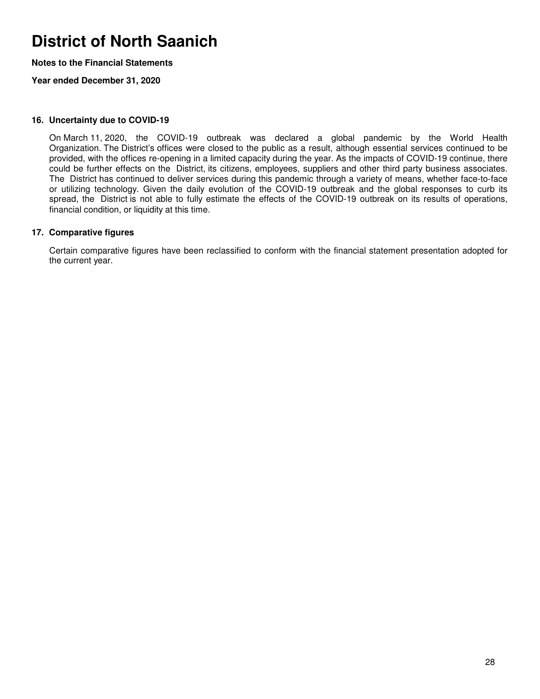#### **Notes to the Financial Statements**

**Year ended December 31, 2020**

#### **16. Uncertainty due to COVID-19**

On March 11, 2020, the COVID-19 outbreak was declared a global pandemic by the World Health Organization. The District's offices were closed to the public as a result, although essential services continued to be provided, with the offices re-opening in a limited capacity during the year. As the impacts of COVID-19 continue, there could be further effects on the District, its citizens, employees, suppliers and other third party business associates. The District has continued to deliver services during this pandemic through a variety of means, whether face-to-face or utilizing technology. Given the daily evolution of the COVID-19 outbreak and the global responses to curb its spread, the District is not able to fully estimate the effects of the COVID-19 outbreak on its results of operations, financial condition, or liquidity at this time.

#### **17. Comparative figures**

Certain comparative figures have been reclassified to conform with the financial statement presentation adopted for the current year.